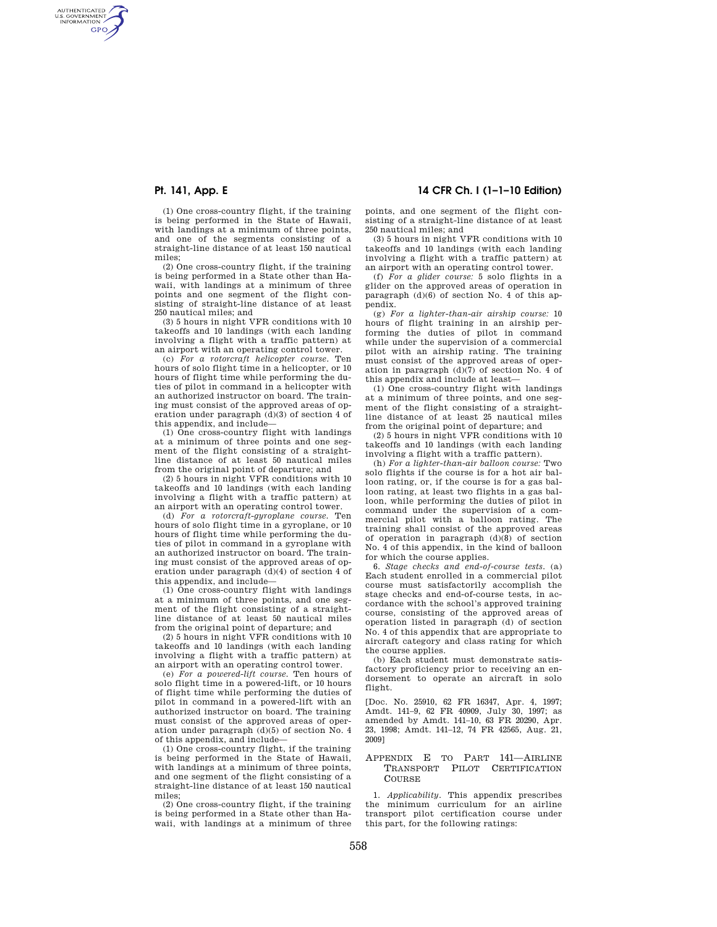AUTHENTICATED<br>U.S. GOVERNMENT<br>INFORMATION **GPO** 

> (1) One cross-country flight, if the training is being performed in the State of Hawaii, with landings at a minimum of three points, and one of the segments consisting of a straight-line distance of at least 150 nautical miles;

> (2) One cross-country flight, if the training is being performed in a State other than Hawaii, with landings at a minimum of three points and one segment of the flight consisting of straight-line distance of at least 250 nautical miles; and

> (3) 5 hours in night VFR conditions with 10 takeoffs and 10 landings (with each landing involving a flight with a traffic pattern) at an airport with an operating control tower.

> (c) *For a rotorcraft helicopter course.* Ten hours of solo flight time in a helicopter, or 10 hours of flight time while performing the duties of pilot in command in a helicopter with an authorized instructor on board. The training must consist of the approved areas of operation under paragraph  $(d)(3)$  of section 4 of this appendix, and include—

> (1) One cross-country flight with landings at a minimum of three points and one segment of the flight consisting of a straightline distance of at least 50 nautical miles from the original point of departure; and

> (2) 5 hours in night VFR conditions with 10 takeoffs and 10 landings (with each landing involving a flight with a traffic pattern) at an airport with an operating control tower.

> (d) *For a rotorcraft-gyroplane course.* Ten hours of solo flight time in a gyroplane, or 10 hours of flight time while performing the duties of pilot in command in a gyroplane with an authorized instructor on board. The training must consist of the approved areas of operation under paragraph (d)(4) of section 4 of this appendix, and include—

> (1) One cross-country flight with landings at a minimum of three points, and one segment of the flight consisting of a straightline distance of at least 50 nautical miles from the original point of departure; and

> (2) 5 hours in night VFR conditions with 10 takeoffs and 10 landings (with each landing involving a flight with a traffic pattern) at an airport with an operating control tower.

> (e) *For a powered-lift course.* Ten hours of solo flight time in a powered-lift, or 10 hours of flight time while performing the duties of pilot in command in a powered-lift with an authorized instructor on board. The training must consist of the approved areas of operation under paragraph (d)(5) of section No. 4 of this appendix, and include—

> (1) One cross-country flight, if the training is being performed in the State of Hawaii, with landings at a minimum of three points, and one segment of the flight consisting of a straight-line distance of at least 150 nautical miles;

> (2) One cross-country flight, if the training is being performed in a State other than Hawaii, with landings at a minimum of three

# **Pt. 141, App. E 14 CFR Ch. I (1–1–10 Edition)**

points, and one segment of the flight consisting of a straight-line distance of at least 250 nautical miles; and

(3) 5 hours in night VFR conditions with 10 takeoffs and 10 landings (with each landing involving a flight with a traffic pattern) at an airport with an operating control tower.

(f) *For a glider course:* 5 solo flights in a glider on the approved areas of operation in paragraph (d)(6) of section No. 4 of this appendix.

(g) *For a lighter-than-air airship course:* 10 hours of flight training in an airship performing the duties of pilot in command while under the supervision of a commercial pilot with an airship rating. The training must consist of the approved areas of operation in paragraph (d)(7) of section No. 4 of this appendix and include at least—

(1) One cross-country flight with landings at a minimum of three points, and one segment of the flight consisting of a straightline distance of at least 25 nautical miles from the original point of departure; and

(2) 5 hours in night VFR conditions with 10 takeoffs and 10 landings (with each landing involving a flight with a traffic pattern).

(h) *For a lighter-than-air balloon course:* Two solo flights if the course is for a hot air balloon rating, or, if the course is for a gas balloon rating, at least two flights in a gas balloon, while performing the duties of pilot in command under the supervision of a commercial pilot with a balloon rating. The training shall consist of the approved areas of operation in paragraph (d)(8) of section No. 4 of this appendix, in the kind of balloon for which the course applies.

6. *Stage checks and end-of-course tests.* (a) Each student enrolled in a commercial pilot course must satisfactorily accomplish the stage checks and end-of-course tests, in accordance with the school's approved training course, consisting of the approved areas of operation listed in paragraph (d) of section No. 4 of this appendix that are appropriate to aircraft category and class rating for which the course applies.

(b) Each student must demonstrate satisfactory proficiency prior to receiving an endorsement to operate an aircraft in solo flight.

[Doc. No. 25910, 62 FR 16347, Apr. 4, 1997; Amdt. 141–9, 62 FR 40909, July 30, 1997; as amended by Amdt. 141–10, 63 FR 20290, Apr. 23, 1998; Amdt. 141–12, 74 FR 42565, Aug. 21, 2009]

#### APPENDIX E TO PART 141—AIRLINE TRANSPORT PILOT CERTIFICATION **COURSE**

1. *Applicability.* This appendix prescribes the minimum curriculum for an airline transport pilot certification course under this part, for the following ratings: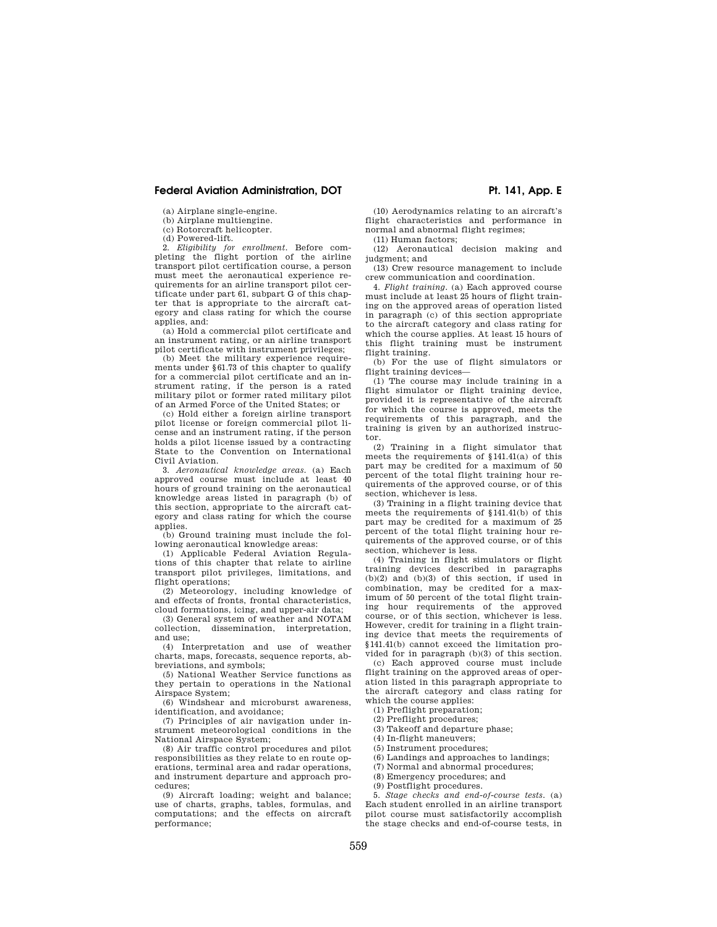## Federal Aviation Administration, DOT **PH. 141, App. E**

(a) Airplane single-engine.

(b) Airplane multiengine. (c) Rotorcraft helicopter.

(d) Powered-lift.

2. *Eligibility for enrollment.* Before completing the flight portion of the airline transport pilot certification course, a person must meet the aeronautical experience requirements for an airline transport pilot certificate under part 61, subpart G of this chapter that is appropriate to the aircraft category and class rating for which the course applies, and:

(a) Hold a commercial pilot certificate and an instrument rating, or an airline transport pilot certificate with instrument privileges;

(b) Meet the military experience requirements under §61.73 of this chapter to qualify for a commercial pilot certificate and an instrument rating, if the person is a rated military pilot or former rated military pilot of an Armed Force of the United States; or

(c) Hold either a foreign airline transport pilot license or foreign commercial pilot license and an instrument rating, if the person holds a pilot license issued by a contracting State to the Convention on International Civil Aviation.

3. *Aeronautical knowledge areas.* (a) Each approved course must include at least 40 hours of ground training on the aeronautical knowledge areas listed in paragraph (b) of this section, appropriate to the aircraft category and class rating for which the course applies.

(b) Ground training must include the following aeronautical knowledge areas:

(1) Applicable Federal Aviation Regulations of this chapter that relate to airline transport pilot privileges, limitations, and flight operations;

(2) Meteorology, including knowledge of and effects of fronts, frontal characteristics, cloud formations, icing, and upper-air data;

(3) General system of weather and NOTAM collection, dissemination, interpretation, and use;

(4) Interpretation and use of weather charts, maps, forecasts, sequence reports, abbreviations, and symbols;

(5) National Weather Service functions as they pertain to operations in the National Airspace System:

(6) Windshear and microburst awareness, identification, and avoidance;

(7) Principles of air navigation under instrument meteorological conditions in the National Airspace System;

(8) Air traffic control procedures and pilot responsibilities as they relate to en route operations, terminal area and radar operations, and instrument departure and approach procedures;

(9) Aircraft loading; weight and balance; use of charts, graphs, tables, formulas, and computations; and the effects on aircraft performance;

(10) Aerodynamics relating to an aircraft's flight characteristics and performance in normal and abnormal flight regimes;

(11) Human factors;

(12) Aeronautical decision making and judgment; and

(13) Crew resource management to include crew communication and coordination.

4. *Flight training.* (a) Each approved course must include at least 25 hours of flight training on the approved areas of operation listed in paragraph (c) of this section appropriate to the aircraft category and class rating for which the course applies. At least 15 hours of this flight training must be instrument flight training.

(b) For the use of flight simulators or flight training devices—

(1) The course may include training in a flight simulator or flight training device, provided it is representative of the aircraft for which the course is approved, meets the requirements of this paragraph, and the training is given by an authorized instructor.

(2) Training in a flight simulator that meets the requirements of §141.41(a) of this part may be credited for a maximum of 50 percent of the total flight training hour requirements of the approved course, or of this section, whichever is less.

(3) Training in a flight training device that meets the requirements of §141.41(b) of this part may be credited for a maximum of 25 percent of the total flight training hour requirements of the approved course, or of this section, whichever is less.

(4) Training in flight simulators or flight training devices described in paragraphs  $(b)(2)$  and  $(b)(3)$  of this section, if used in combination, may be credited for a maximum of 50 percent of the total flight training hour requirements of the approved course, or of this section, whichever is less. However, credit for training in a flight training device that meets the requirements of §141.41(b) cannot exceed the limitation provided for in paragraph (b)(3) of this section.

(c) Each approved course must include flight training on the approved areas of operation listed in this paragraph appropriate to the aircraft category and class rating for which the course applies:

(1) Preflight preparation;

(2) Preflight procedures;

(3) Takeoff and departure phase;

(4) In-flight maneuvers;

(5) Instrument procedures;

(6) Landings and approaches to landings;

(7) Normal and abnormal procedures;

(8) Emergency procedures; and

(9) Postflight procedures.

5. *Stage checks and end-of-course tests.* (a) Each student enrolled in an airline transport pilot course must satisfactorily accomplish the stage checks and end-of-course tests, in